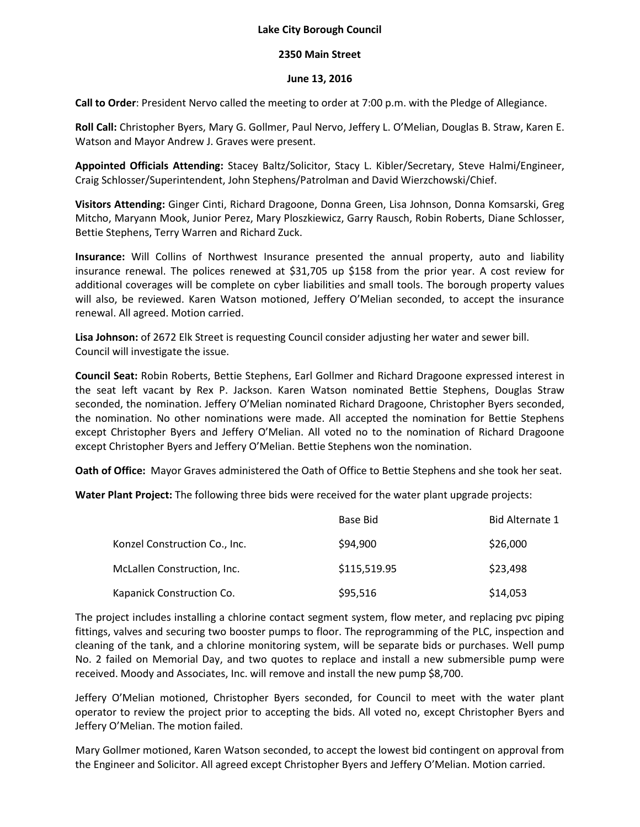## **Lake City Borough Council**

## **2350 Main Street**

## **June 13, 2016**

**Call to Order**: President Nervo called the meeting to order at 7:00 p.m. with the Pledge of Allegiance.

**Roll Call:** Christopher Byers, Mary G. Gollmer, Paul Nervo, Jeffery L. O'Melian, Douglas B. Straw, Karen E. Watson and Mayor Andrew J. Graves were present.

**Appointed Officials Attending:** Stacey Baltz/Solicitor, Stacy L. Kibler/Secretary, Steve Halmi/Engineer, Craig Schlosser/Superintendent, John Stephens/Patrolman and David Wierzchowski/Chief.

**Visitors Attending:** Ginger Cinti, Richard Dragoone, Donna Green, Lisa Johnson, Donna Komsarski, Greg Mitcho, Maryann Mook, Junior Perez, Mary Ploszkiewicz, Garry Rausch, Robin Roberts, Diane Schlosser, Bettie Stephens, Terry Warren and Richard Zuck.

**Insurance:** Will Collins of Northwest Insurance presented the annual property, auto and liability insurance renewal. The polices renewed at \$31,705 up \$158 from the prior year. A cost review for additional coverages will be complete on cyber liabilities and small tools. The borough property values will also, be reviewed. Karen Watson motioned, Jeffery O'Melian seconded, to accept the insurance renewal. All agreed. Motion carried.

**Lisa Johnson:** of 2672 Elk Street is requesting Council consider adjusting her water and sewer bill. Council will investigate the issue.

**Council Seat:** Robin Roberts, Bettie Stephens, Earl Gollmer and Richard Dragoone expressed interest in the seat left vacant by Rex P. Jackson. Karen Watson nominated Bettie Stephens, Douglas Straw seconded, the nomination. Jeffery O'Melian nominated Richard Dragoone, Christopher Byers seconded, the nomination. No other nominations were made. All accepted the nomination for Bettie Stephens except Christopher Byers and Jeffery O'Melian. All voted no to the nomination of Richard Dragoone except Christopher Byers and Jeffery O'Melian. Bettie Stephens won the nomination.

**Oath of Office:** Mayor Graves administered the Oath of Office to Bettie Stephens and she took her seat.

**Water Plant Project:** The following three bids were received for the water plant upgrade projects:

|                               | Base Bid     | Bid Alternate 1 |
|-------------------------------|--------------|-----------------|
| Konzel Construction Co., Inc. | \$94,900     | \$26,000        |
| McLallen Construction, Inc.   | \$115,519.95 | \$23,498        |
| Kapanick Construction Co.     | \$95,516     | \$14,053        |

The project includes installing a chlorine contact segment system, flow meter, and replacing pvc piping fittings, valves and securing two booster pumps to floor. The reprogramming of the PLC, inspection and cleaning of the tank, and a chlorine monitoring system, will be separate bids or purchases. Well pump No. 2 failed on Memorial Day, and two quotes to replace and install a new submersible pump were received. Moody and Associates, Inc. will remove and install the new pump \$8,700.

Jeffery O'Melian motioned, Christopher Byers seconded, for Council to meet with the water plant operator to review the project prior to accepting the bids. All voted no, except Christopher Byers and Jeffery O'Melian. The motion failed.

Mary Gollmer motioned, Karen Watson seconded, to accept the lowest bid contingent on approval from the Engineer and Solicitor. All agreed except Christopher Byers and Jeffery O'Melian. Motion carried.